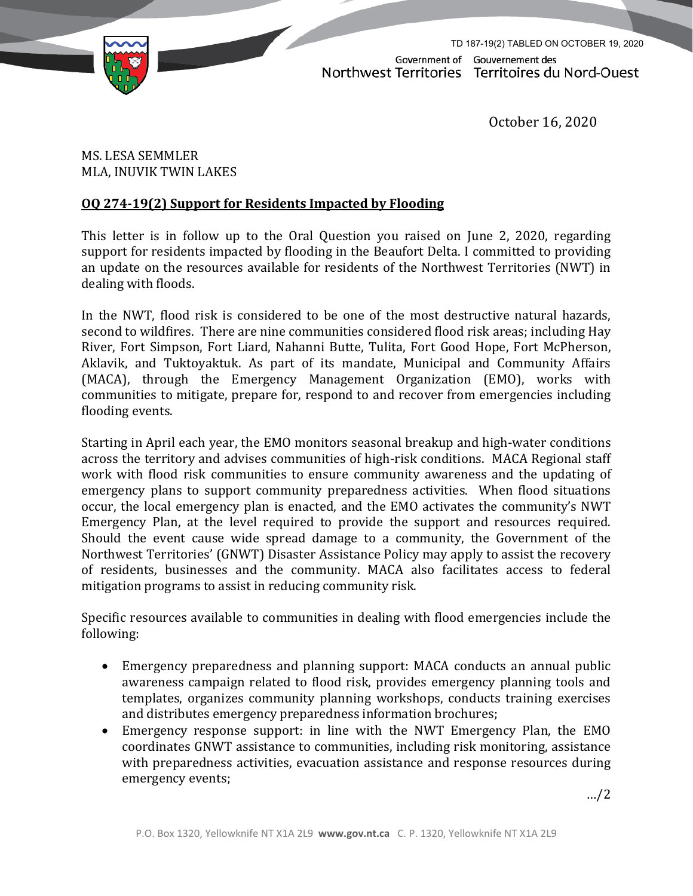

TD 187-19(2) TABLED ON OCTOBER 19, 2020Government of Gouvernement des Northwest Territories Territoires du Nord-Ouest

October 16, 2020

MS. LESA SEMMLER MLA, INUVIK TWIN LAKES

## **OQ 274-19(2) Support for Residents Impacted by Flooding**

This letter is in follow up to the Oral Question you raised on June 2, 2020, regarding support for residents impacted by flooding in the Beaufort Delta. I committed to providing an update on the resources available for residents of the Northwest Territories (NWT) in dealing with floods.

In the NWT, flood risk is considered to be one of the most destructive natural hazards, second to wildfires. There are nine communities considered flood risk areas; including Hay River, Fort Simpson, Fort Liard, Nahanni Butte, Tulita, Fort Good Hope, Fort McPherson, Aklavik, and Tuktoyaktuk. As part of its mandate, Municipal and Community Affairs (MACA), through the Emergency Management Organization (EMO), works with communities to mitigate, prepare for, respond to and recover from emergencies including flooding events.

Starting in April each year, the EMO monitors seasonal breakup and high-water conditions across the territory and advises communities of high-risk conditions. MACA Regional staff work with flood risk communities to ensure community awareness and the updating of emergency plans to support community preparedness activities. When flood situations occur, the local emergency plan is enacted, and the EMO activates the community's NWT Emergency Plan, at the level required to provide the support and resources required. Should the event cause wide spread damage to a community, the Government of the Northwest Territories' (GNWT) Disaster Assistance Policy may apply to assist the recovery of residents, businesses and the community. MACA also facilitates access to federal mitigation programs to assist in reducing community risk.

Specific resources available to communities in dealing with flood emergencies include the following:

- Emergency preparedness and planning support: MACA conducts an annual public awareness campaign related to flood risk, provides emergency planning tools and templates, organizes community planning workshops, conducts training exercises and distributes emergency preparedness information brochures;
- Emergency response support: in line with the NWT Emergency Plan, the EMO coordinates GNWT assistance to communities, including risk monitoring, assistance with preparedness activities, evacuation assistance and response resources during emergency events;

…/2